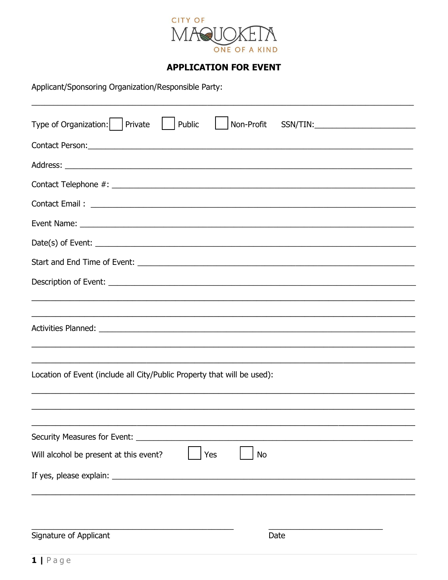

## **APPLICATION FOR EVENT**

Applicant/Sponsoring Organization/Responsible Party:

| Type of Organization:     Private<br>Public<br>Non-Profit                                                                                                                                                                            |  |  |  |  |  |
|--------------------------------------------------------------------------------------------------------------------------------------------------------------------------------------------------------------------------------------|--|--|--|--|--|
|                                                                                                                                                                                                                                      |  |  |  |  |  |
|                                                                                                                                                                                                                                      |  |  |  |  |  |
|                                                                                                                                                                                                                                      |  |  |  |  |  |
| Contact Email: <u>Alexander Advisory and Alexander Advisory and Alexander Advisory and Alexander Advisory and Alexander Advisory and Alexander Advisory and Alexander Advisory and Alexander Advisory and Alexander Advisory and</u> |  |  |  |  |  |
|                                                                                                                                                                                                                                      |  |  |  |  |  |
| $Date(s)$ of Event: $\_\_$                                                                                                                                                                                                           |  |  |  |  |  |
|                                                                                                                                                                                                                                      |  |  |  |  |  |
|                                                                                                                                                                                                                                      |  |  |  |  |  |
|                                                                                                                                                                                                                                      |  |  |  |  |  |
|                                                                                                                                                                                                                                      |  |  |  |  |  |
| Location of Event (include all City/Public Property that will be used):                                                                                                                                                              |  |  |  |  |  |
|                                                                                                                                                                                                                                      |  |  |  |  |  |
| Security Measures for Event: __________                                                                                                                                                                                              |  |  |  |  |  |
| Will alcohol be present at this event?<br>Yes<br><b>No</b>                                                                                                                                                                           |  |  |  |  |  |
|                                                                                                                                                                                                                                      |  |  |  |  |  |
|                                                                                                                                                                                                                                      |  |  |  |  |  |
| Signature of Applicant<br>Date                                                                                                                                                                                                       |  |  |  |  |  |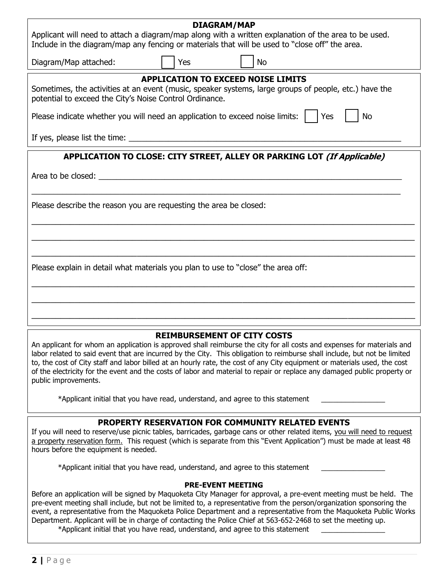| <b>DIAGRAM/MAP</b><br>Applicant will need to attach a diagram/map along with a written explanation of the area to be used.<br>Include in the diagram/map any fencing or materials that will be used to "close off" the area.                                                                                                                                                                                                                                                                                                                                               |  |  |  |  |  |
|----------------------------------------------------------------------------------------------------------------------------------------------------------------------------------------------------------------------------------------------------------------------------------------------------------------------------------------------------------------------------------------------------------------------------------------------------------------------------------------------------------------------------------------------------------------------------|--|--|--|--|--|
| Yes<br>Diagram/Map attached:<br><b>No</b>                                                                                                                                                                                                                                                                                                                                                                                                                                                                                                                                  |  |  |  |  |  |
| <b>APPLICATION TO EXCEED NOISE LIMITS</b><br>Sometimes, the activities at an event (music, speaker systems, large groups of people, etc.) have the<br>potential to exceed the City's Noise Control Ordinance.                                                                                                                                                                                                                                                                                                                                                              |  |  |  |  |  |
| Please indicate whether you will need an application to exceed noise limits: $\vert \vert$ Yes<br><b>No</b>                                                                                                                                                                                                                                                                                                                                                                                                                                                                |  |  |  |  |  |
|                                                                                                                                                                                                                                                                                                                                                                                                                                                                                                                                                                            |  |  |  |  |  |
| APPLICATION TO CLOSE: CITY STREET, ALLEY OR PARKING LOT (If Applicable)                                                                                                                                                                                                                                                                                                                                                                                                                                                                                                    |  |  |  |  |  |
|                                                                                                                                                                                                                                                                                                                                                                                                                                                                                                                                                                            |  |  |  |  |  |
| Please describe the reason you are requesting the area be closed:                                                                                                                                                                                                                                                                                                                                                                                                                                                                                                          |  |  |  |  |  |
|                                                                                                                                                                                                                                                                                                                                                                                                                                                                                                                                                                            |  |  |  |  |  |
| Please explain in detail what materials you plan to use to "close" the area off:                                                                                                                                                                                                                                                                                                                                                                                                                                                                                           |  |  |  |  |  |
|                                                                                                                                                                                                                                                                                                                                                                                                                                                                                                                                                                            |  |  |  |  |  |
|                                                                                                                                                                                                                                                                                                                                                                                                                                                                                                                                                                            |  |  |  |  |  |
| <b>REIMBURSEMENT OF CITY COSTS</b><br>An applicant for whom an application is approved shall reimburse the city for all costs and expenses for materials and<br>labor related to said event that are incurred by the City. This obligation to reimburse shall include, but not be limited<br>to, the cost of City staff and labor billed at an hourly rate, the cost of any City equipment or materials used, the cost<br>of the electricity for the event and the costs of labor and material to repair or replace any damaged public property or<br>public improvements. |  |  |  |  |  |

\*Applicant initial that you have read, understand, and agree to this statement \_\_\_\_\_\_\_\_\_\_\_\_\_\_\_\_

## **PROPERTY RESERVATION FOR COMMUNITY RELATED EVENTS**

If you will need to reserve/use picnic tables, barricades, garbage cans or other related items, you will need to request a property reservation form. This request (which is separate from this "Event Application") must be made at least 48 hours before the equipment is needed.

\*Applicant initial that you have read, understand, and agree to this statement \_\_\_\_\_\_\_\_\_\_\_\_\_\_\_\_

#### **PRE-EVENT MEETING**

Before an application will be signed by Maquoketa City Manager for approval, a pre-event meeting must be held. The pre-event meeting shall include, but not be limited to, a representative from the person/organization sponsoring the event, a representative from the Maquoketa Police Department and a representative from the Maquoketa Public Works Department. Applicant will be in charge of contacting the Police Chief at 563-652-2468 to set the meeting up. \*Applicant initial that you have read, understand, and agree to this statement \_\_\_\_\_\_\_\_\_\_\_\_\_\_\_\_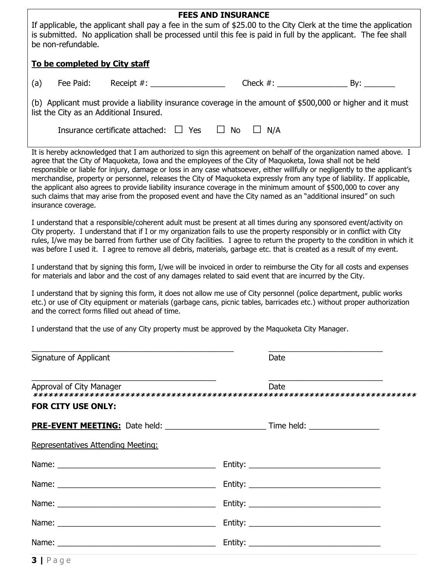| <b>FEES AND INSURANCE</b><br>If applicable, the applicant shall pay a fee in the sum of \$25.00 to the City Clerk at the time the application<br>is submitted. No application shall be processed until this fee is paid in full by the applicant. The fee shall<br>be non-refundable.                                                                                                                                                                                                                                                                                                                                                                                                                                                                                                                                                                                                                                                                                                                                                                                                                                                                                                                                                                                                                                                                                                                                                                                                                                                                                                                                                                                                                                                                                                                                                                                                                       |                                    |                                            |        |               |      |  |  |
|-------------------------------------------------------------------------------------------------------------------------------------------------------------------------------------------------------------------------------------------------------------------------------------------------------------------------------------------------------------------------------------------------------------------------------------------------------------------------------------------------------------------------------------------------------------------------------------------------------------------------------------------------------------------------------------------------------------------------------------------------------------------------------------------------------------------------------------------------------------------------------------------------------------------------------------------------------------------------------------------------------------------------------------------------------------------------------------------------------------------------------------------------------------------------------------------------------------------------------------------------------------------------------------------------------------------------------------------------------------------------------------------------------------------------------------------------------------------------------------------------------------------------------------------------------------------------------------------------------------------------------------------------------------------------------------------------------------------------------------------------------------------------------------------------------------------------------------------------------------------------------------------------------------|------------------------------------|--------------------------------------------|--------|---------------|------|--|--|
| To be completed by City staff                                                                                                                                                                                                                                                                                                                                                                                                                                                                                                                                                                                                                                                                                                                                                                                                                                                                                                                                                                                                                                                                                                                                                                                                                                                                                                                                                                                                                                                                                                                                                                                                                                                                                                                                                                                                                                                                               |                                    |                                            |        |               |      |  |  |
| (a)                                                                                                                                                                                                                                                                                                                                                                                                                                                                                                                                                                                                                                                                                                                                                                                                                                                                                                                                                                                                                                                                                                                                                                                                                                                                                                                                                                                                                                                                                                                                                                                                                                                                                                                                                                                                                                                                                                         | Fee Paid:                          |                                            |        |               |      |  |  |
| (b) Applicant must provide a liability insurance coverage in the amount of \$500,000 or higher and it must<br>list the City as an Additional Insured.                                                                                                                                                                                                                                                                                                                                                                                                                                                                                                                                                                                                                                                                                                                                                                                                                                                                                                                                                                                                                                                                                                                                                                                                                                                                                                                                                                                                                                                                                                                                                                                                                                                                                                                                                       |                                    |                                            |        |               |      |  |  |
|                                                                                                                                                                                                                                                                                                                                                                                                                                                                                                                                                                                                                                                                                                                                                                                                                                                                                                                                                                                                                                                                                                                                                                                                                                                                                                                                                                                                                                                                                                                                                                                                                                                                                                                                                                                                                                                                                                             |                                    | Insurance certificate attached: $\Box$ Yes | $\Box$ | No<br>$\perp$ | N/A  |  |  |
| It is hereby acknowledged that I am authorized to sign this agreement on behalf of the organization named above. I<br>agree that the City of Maquoketa, Iowa and the employees of the City of Maquoketa, Iowa shall not be held<br>responsible or liable for injury, damage or loss in any case whatsoever, either willfully or negligently to the applicant's<br>merchandise, property or personnel, releases the City of Maquoketa expressly from any type of liability. If applicable,<br>the applicant also agrees to provide liability insurance coverage in the minimum amount of \$500,000 to cover any<br>such claims that may arise from the proposed event and have the City named as an "additional insured" on such<br>insurance coverage.<br>I understand that a responsible/coherent adult must be present at all times during any sponsored event/activity on<br>City property. I understand that if I or my organization fails to use the property responsibly or in conflict with City<br>rules, I/we may be barred from further use of City facilities. I agree to return the property to the condition in which it<br>was before I used it. I agree to remove all debris, materials, garbage etc. that is created as a result of my event.<br>I understand that by signing this form, I/we will be invoiced in order to reimburse the City for all costs and expenses<br>for materials and labor and the cost of any damages related to said event that are incurred by the City.<br>I understand that by signing this form, it does not allow me use of City personnel (police department, public works<br>etc.) or use of City equipment or materials (garbage cans, picnic tables, barricades etc.) without proper authorization<br>and the correct forms filled out ahead of time.<br>I understand that the use of any City property must be approved by the Maquoketa City Manager. |                                    |                                            |        |               |      |  |  |
|                                                                                                                                                                                                                                                                                                                                                                                                                                                                                                                                                                                                                                                                                                                                                                                                                                                                                                                                                                                                                                                                                                                                                                                                                                                                                                                                                                                                                                                                                                                                                                                                                                                                                                                                                                                                                                                                                                             | Signature of Applicant             |                                            |        |               | Date |  |  |
|                                                                                                                                                                                                                                                                                                                                                                                                                                                                                                                                                                                                                                                                                                                                                                                                                                                                                                                                                                                                                                                                                                                                                                                                                                                                                                                                                                                                                                                                                                                                                                                                                                                                                                                                                                                                                                                                                                             | Approval of City Manager           |                                            |        |               | Date |  |  |
| <b>FOR CITY USE ONLY:</b>                                                                                                                                                                                                                                                                                                                                                                                                                                                                                                                                                                                                                                                                                                                                                                                                                                                                                                                                                                                                                                                                                                                                                                                                                                                                                                                                                                                                                                                                                                                                                                                                                                                                                                                                                                                                                                                                                   |                                    |                                            |        |               |      |  |  |
|                                                                                                                                                                                                                                                                                                                                                                                                                                                                                                                                                                                                                                                                                                                                                                                                                                                                                                                                                                                                                                                                                                                                                                                                                                                                                                                                                                                                                                                                                                                                                                                                                                                                                                                                                                                                                                                                                                             |                                    |                                            |        |               |      |  |  |
|                                                                                                                                                                                                                                                                                                                                                                                                                                                                                                                                                                                                                                                                                                                                                                                                                                                                                                                                                                                                                                                                                                                                                                                                                                                                                                                                                                                                                                                                                                                                                                                                                                                                                                                                                                                                                                                                                                             | Representatives Attending Meeting: |                                            |        |               |      |  |  |
|                                                                                                                                                                                                                                                                                                                                                                                                                                                                                                                                                                                                                                                                                                                                                                                                                                                                                                                                                                                                                                                                                                                                                                                                                                                                                                                                                                                                                                                                                                                                                                                                                                                                                                                                                                                                                                                                                                             |                                    |                                            |        |               |      |  |  |
|                                                                                                                                                                                                                                                                                                                                                                                                                                                                                                                                                                                                                                                                                                                                                                                                                                                                                                                                                                                                                                                                                                                                                                                                                                                                                                                                                                                                                                                                                                                                                                                                                                                                                                                                                                                                                                                                                                             |                                    |                                            |        |               |      |  |  |
|                                                                                                                                                                                                                                                                                                                                                                                                                                                                                                                                                                                                                                                                                                                                                                                                                                                                                                                                                                                                                                                                                                                                                                                                                                                                                                                                                                                                                                                                                                                                                                                                                                                                                                                                                                                                                                                                                                             |                                    |                                            |        |               |      |  |  |
|                                                                                                                                                                                                                                                                                                                                                                                                                                                                                                                                                                                                                                                                                                                                                                                                                                                                                                                                                                                                                                                                                                                                                                                                                                                                                                                                                                                                                                                                                                                                                                                                                                                                                                                                                                                                                                                                                                             |                                    |                                            |        |               |      |  |  |
|                                                                                                                                                                                                                                                                                                                                                                                                                                                                                                                                                                                                                                                                                                                                                                                                                                                                                                                                                                                                                                                                                                                                                                                                                                                                                                                                                                                                                                                                                                                                                                                                                                                                                                                                                                                                                                                                                                             |                                    |                                            |        |               |      |  |  |
| 3 Page                                                                                                                                                                                                                                                                                                                                                                                                                                                                                                                                                                                                                                                                                                                                                                                                                                                                                                                                                                                                                                                                                                                                                                                                                                                                                                                                                                                                                                                                                                                                                                                                                                                                                                                                                                                                                                                                                                      |                                    |                                            |        |               |      |  |  |